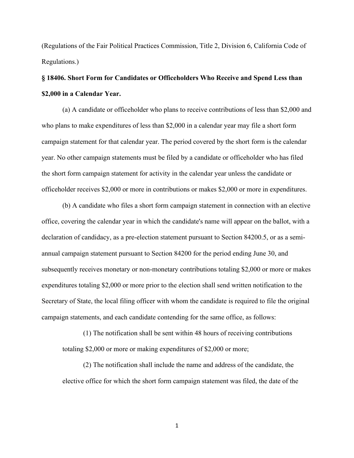(Regulations of the Fair Political Practices Commission, Title 2, Division 6, California Code of Regulations.)

## **§ 18406. Short Form for Candidates or Officeholders Who Receive and Spend Less than \$2,000 in a Calendar Year.**

(a) A candidate or officeholder who plans to receive contributions of less than \$2,000 and who plans to make expenditures of less than \$2,000 in a calendar year may file a short form campaign statement for that calendar year. The period covered by the short form is the calendar year. No other campaign statements must be filed by a candidate or officeholder who has filed the short form campaign statement for activity in the calendar year unless the candidate or officeholder receives \$2,000 or more in contributions or makes \$2,000 or more in expenditures.

(b) A candidate who files a short form campaign statement in connection with an elective office, covering the calendar year in which the candidate's name will appear on the ballot, with a declaration of candidacy, as a pre-election statement pursuant to Section 84200.5, or as a semiannual campaign statement pursuant to Section 84200 for the period ending June 30, and subsequently receives monetary or non-monetary contributions totaling \$2,000 or more or makes expenditures totaling \$2,000 or more prior to the election shall send written notification to the Secretary of State, the local filing officer with whom the candidate is required to file the original campaign statements, and each candidate contending for the same office, as follows:

(1) The notification shall be sent within 48 hours of receiving contributions totaling \$2,000 or more or making expenditures of \$2,000 or more;

(2) The notification shall include the name and address of the candidate, the elective office for which the short form campaign statement was filed, the date of the

1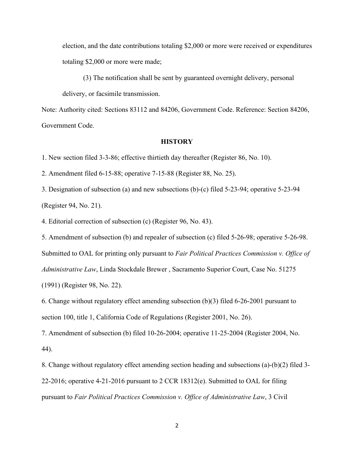election, and the date contributions totaling \$2,000 or more were received or expenditures totaling \$2,000 or more were made;

(3) The notification shall be sent by guaranteed overnight delivery, personal delivery, or facsimile transmission.

Note: Authority cited: Sections 83112 and 84206, Government Code. Reference: Section 84206, Government Code.

## **HISTORY**

1. New section filed 3-3-86; effective thirtieth day thereafter (Register 86, No. 10).

2. Amendment filed 6-15-88; operative 7-15-88 (Register 88, No. 25).

3. Designation of subsection (a) and new subsections (b)-(c) filed 5-23-94; operative 5-23-94 (Register 94, No. 21).

4. Editorial correction of subsection (c) (Register 96, No. 43).

5. Amendment of subsection (b) and repealer of subsection (c) filed 5-26-98; operative 5-26-98.

Submitted to OAL for printing only pursuant to *Fair Political Practices Commission v. Office of* 

*Administrative Law*, Linda Stockdale Brewer , Sacramento Superior Court, Case No. 51275

(1991) (Register 98, No. 22).

6. Change without regulatory effect amending subsection (b)(3) filed 6-26-2001 pursuant to section 100, title 1, California Code of Regulations (Register 2001, No. 26).

7. Amendment of subsection (b) filed 10-26-2004; operative 11-25-2004 (Register 2004, No. 44).

8. Change without regulatory effect amending section heading and subsections (a)-(b)(2) filed 3- 22-2016; operative 4-21-2016 pursuant to 2 CCR 18312(e). Submitted to OAL for filing pursuant to *Fair Political Practices Commission v. Office of Administrative Law*, 3 Civil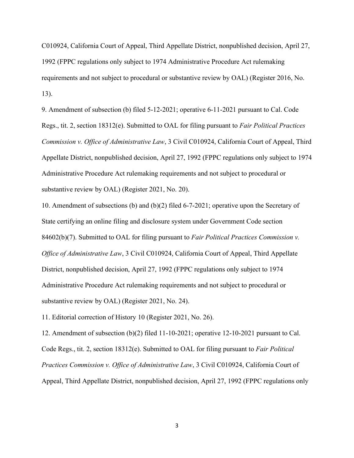C010924, California Court of Appeal, Third Appellate District, nonpublished decision, April 27, 1992 (FPPC regulations only subject to 1974 Administrative Procedure Act rulemaking requirements and not subject to procedural or substantive review by OAL) (Register 2016, No. 13).

9. Amendment of subsection (b) filed 5-12-2021; operative 6-11-2021 pursuant to Cal. Code Regs., tit. 2, section 18312(e). Submitted to OAL for filing pursuant to *Fair Political Practices Commission v. Office of Administrative Law*, 3 Civil C010924, California Court of Appeal, Third Appellate District, nonpublished decision, April 27, 1992 (FPPC regulations only subject to 1974 Administrative Procedure Act rulemaking requirements and not subject to procedural or substantive review by OAL) (Register 2021, No. 20).

10. Amendment of subsections (b) and (b)(2) filed 6-7-2021; operative upon the Secretary of State certifying an online filing and disclosure system under Government Code section 84602(b)(7). Submitted to OAL for filing pursuant to *Fair Political Practices Commission v. Office of Administrative Law*, 3 Civil C010924, California Court of Appeal, Third Appellate District, nonpublished decision, April 27, 1992 (FPPC regulations only subject to 1974 Administrative Procedure Act rulemaking requirements and not subject to procedural or substantive review by OAL) (Register 2021, No. 24).

11. Editorial correction of History 10 (Register 2021, No. 26).

12. Amendment of subsection (b)(2) filed 11-10-2021; operative 12-10-2021 pursuant to Cal. Code Regs., tit. 2, section 18312(e). Submitted to OAL for filing pursuant to *Fair Political Practices Commission v. Office of Administrative Law*, 3 Civil C010924, California Court of Appeal, Third Appellate District, nonpublished decision, April 27, 1992 (FPPC regulations only